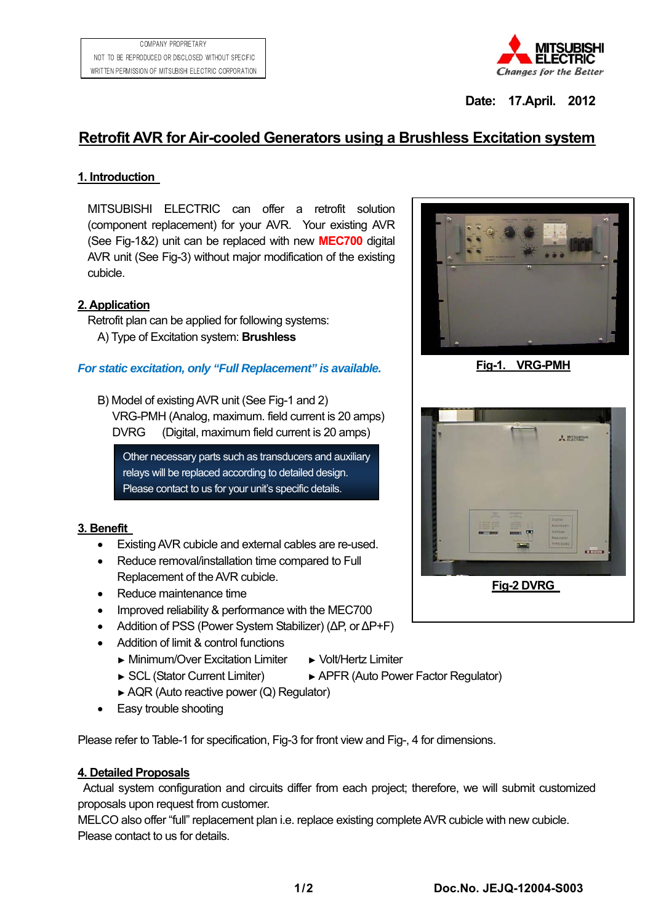

**Date: 17.April. 2012** 

# **Retrofit AVR for Air-cooled Generators using a Brushless Excitation system**

# **1. Introduction**

MITSUBISHI ELECTRIC can offer a retrofit solution (component replacement) for your AVR. Your existing AVR (See Fig-1&2) unit can be replaced with new **MEC700** digital AVR unit (See Fig-3) without major modification of the existing cubicle.

# **2. Application**

Retrofit plan can be applied for following systems: A) Type of Excitation system: **Brushless**

#### *For static excitation, only "Full Replacement" is available.*

B) Model of existing AVR unit (See Fig-1 and 2) VRG-PMH (Analog, maximum. field current is 20 amps) DVRG (Digital, maximum field current is 20 amps)

Other necessary parts such as transducers and auxiliary relays will be replaced according to detailed design. Please contact to us for your unit's specific details.

#### **3. Benefit**

- Existing AVR cubicle and external cables are re-used.
- Reduce removal/installation time compared to Full Replacement of the AVR cubicle.
- Reduce maintenance time
- Improved reliability & performance with the MEC700
- Addition of PSS (Power System Stabilizer) (ΔP, or ΔP+F)
- Addition of limit & control functions
	- ► Minimum/Over Excitation Limiter ► Volt/Hertz Limiter
		-
	- ► SCL (Stator Current Limiter) ► APFR (Auto Power Factor Regulator)
	- ► AQR (Auto reactive power (Q) Regulator)
- Easy trouble shooting

Please refer to Table-1 for specification, Fig-3 for front view and Fig-, 4 for dimensions.

# **4. Detailed Proposals**

Actual system configuration and circuits differ from each project; therefore, we will submit customized proposals upon request from customer.

MELCO also offer "full" replacement plan i.e. replace existing complete AVR cubicle with new cubicle. Please contact to us for details.



**Fig-1. VRG-PMH**